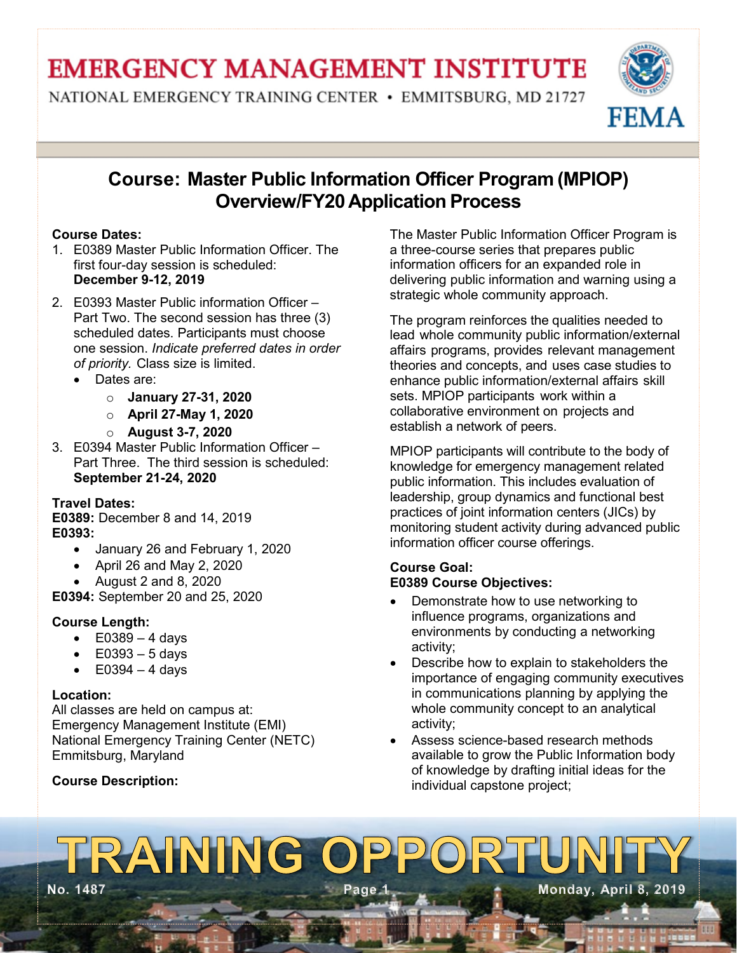# **EMERGENCY MANAGEMENT INSTITUTE**

NATIONAL EMERGENCY TRAINING CENTER • EMMITSBURG, MD 21727



# **Course: Master Public Information Officer Program (MPIOP) Overview/FY20 Application Process**

# **Course Dates:**

- 1. E0389 Master Public Information Officer. The first four-day session is scheduled: **December 9-12, 2019**
- 2. E0393 Master Public information Officer Part Two. The second session has three (3) scheduled dates. Participants must choose one session. *Indicate preferred dates in order of priority.* Class size is limited.
	- Dates are:
		- o **January 27-31, 2020**
		- o **April 27-May 1, 2020**
		- o **August 3-7, 2020**
- 3. E0394 Master Public Information Officer Part Three. The third session is scheduled: **September 21-24, 2020**

# **Travel Dates:**

**E0389:** December 8 and 14, 2019 **E0393:** 

- January 26 and February 1, 2020
- April 26 and May 2, 2020
- August 2 and 8, 2020

**E0394:** September 20 and 25, 2020

# **Course Length:**

- $\bullet$  E0389 4 days
- $\bullet$  E0393 5 days
- $\bullet$  E0394 4 days

# **Location:**

All classes are held on campus at: Emergency Management Institute (EMI) National Emergency Training Center (NETC) Emmitsburg, Maryland

# **Course Description:**

The Master Public Information Officer Program is a three-course series that prepares public information officers for an expanded role in delivering public information and warning using a strategic whole community approach.

The program reinforces the qualities needed to lead whole community public information/external affairs programs, provides relevant management theories and concepts, and uses case studies to enhance public information/external affairs skill sets. MPIOP participants work within a collaborative environment on projects and establish a network of peers.

MPIOP participants will contribute to the body of knowledge for emergency management related public information. This includes evaluation of leadership, group dynamics and functional best practices of joint information centers (JICs) by monitoring student activity during advanced public information officer course offerings.

### **Course Goal: E0389 Course Objectives:**

- Demonstrate how to use networking to influence programs, organizations and environments by conducting a networking activity;
- Describe how to explain to stakeholders the importance of engaging community executives in communications planning by applying the whole community concept to an analytical activity;
- Assess science-based research methods available to grow the Public Information body of knowledge by drafting initial ideas for the individual capstone project;

# TRAINING OPPOI **No. 1487 Page 1 Monday, April 8, 2019**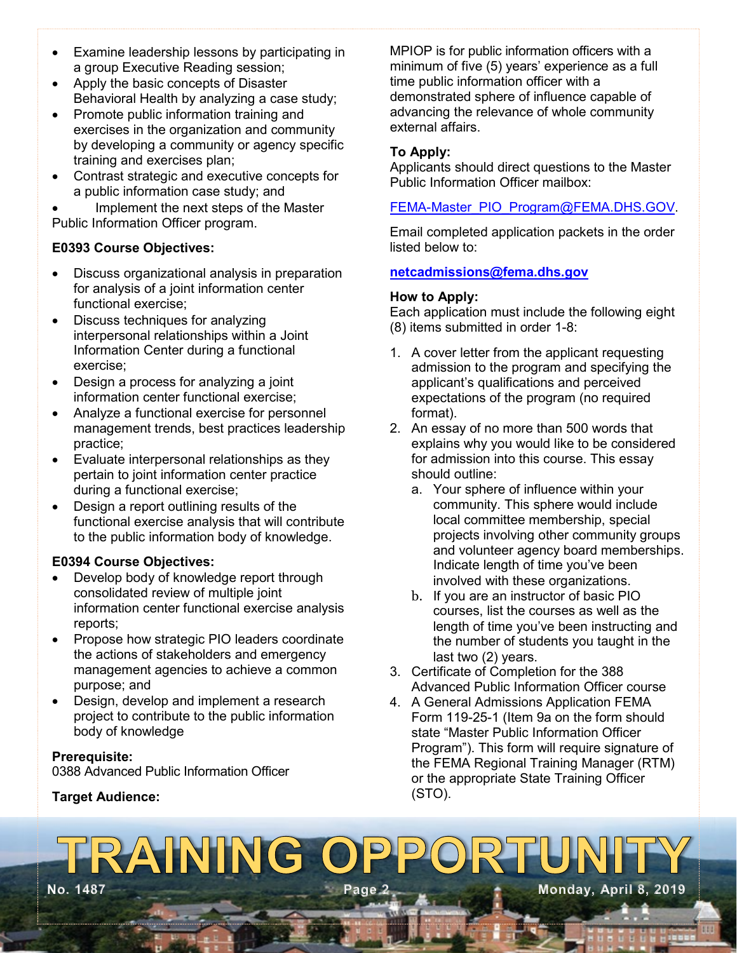- Examine leadership lessons by participating in a group Executive Reading session;
- Apply the basic concepts of Disaster Behavioral Health by analyzing a case study;
- Promote public information training and exercises in the organization and community by developing a community or agency specific training and exercises plan;
- Contrast strategic and executive concepts for a public information case study; and

• Implement the next steps of the Master Public Information Officer program.

### **E0393 Course Objectives:**

- Discuss organizational analysis in preparation for analysis of a joint information center functional exercise;
- Discuss techniques for analyzing interpersonal relationships within a Joint Information Center during a functional exercise;
- Design a process for analyzing a joint information center functional exercise;
- Analyze a functional exercise for personnel management trends, best practices leadership practice;
- Evaluate interpersonal relationships as they pertain to joint information center practice during a functional exercise;
- Design a report outlining results of the functional exercise analysis that will contribute to the public information body of knowledge.

#### **E0394 Course Objectives:**

- Develop body of knowledge report through consolidated review of multiple joint information center functional exercise analysis reports;
- Propose how strategic PIO leaders coordinate the actions of stakeholders and emergency management agencies to achieve a common purpose; and
- Design, develop and implement a research project to contribute to the public information body of knowledge

#### **Prerequisite:**

0388 Advanced Public Information Officer

#### **Target Audience:**

MPIOP is for public information officers with a minimum of five (5) years' experience as a full time public information officer with a demonstrated sphere of influence capable of advancing the relevance of whole community external affairs.

#### **To Apply:**

Applicants should direct questions to the Master Public Information Officer mailbox:

#### [FEMA-Master\\_PIO\\_Program@FEMA.DHS.GOV.](mailto:FEMA-Master_PIO_Program@FEMA.DHS.GOV)

Email completed application packets in the order listed below to:

#### **[netcadmissions@fema.dhs.gov](mailto:netcadmissions@fema.dhs.gov)**

#### **How to Apply:**

Each application must include the following eight (8) items submitted in order 1-8:

- 1. A cover letter from the applicant requesting admission to the program and specifying the applicant's qualifications and perceived expectations of the program (no required format).
- 2. An essay of no more than 500 words that explains why you would like to be considered for admission into this course. This essay should outline:
	- a. Your sphere of influence within your community. This sphere would include local committee membership, special projects involving other community groups and volunteer agency board memberships. Indicate length of time you've been involved with these organizations.
	- b. If you are an instructor of basic PIO courses, list the courses as well as the length of time you've been instructing and the number of students you taught in the last two (2) years.
- 3. Certificate of Completion for the 388 Advanced Public Information Officer course
- 4. A General Admissions Application FEMA Form 119-25-1 (Item 9a on the form should state "Master Public Information Officer Program"). This form will require signature of the FEMA Regional Training Manager (RTM) or the appropriate State Training Officer (STO).

# RAINING OPPO **No. 1487 Page 2 Monday, April 8, 2019**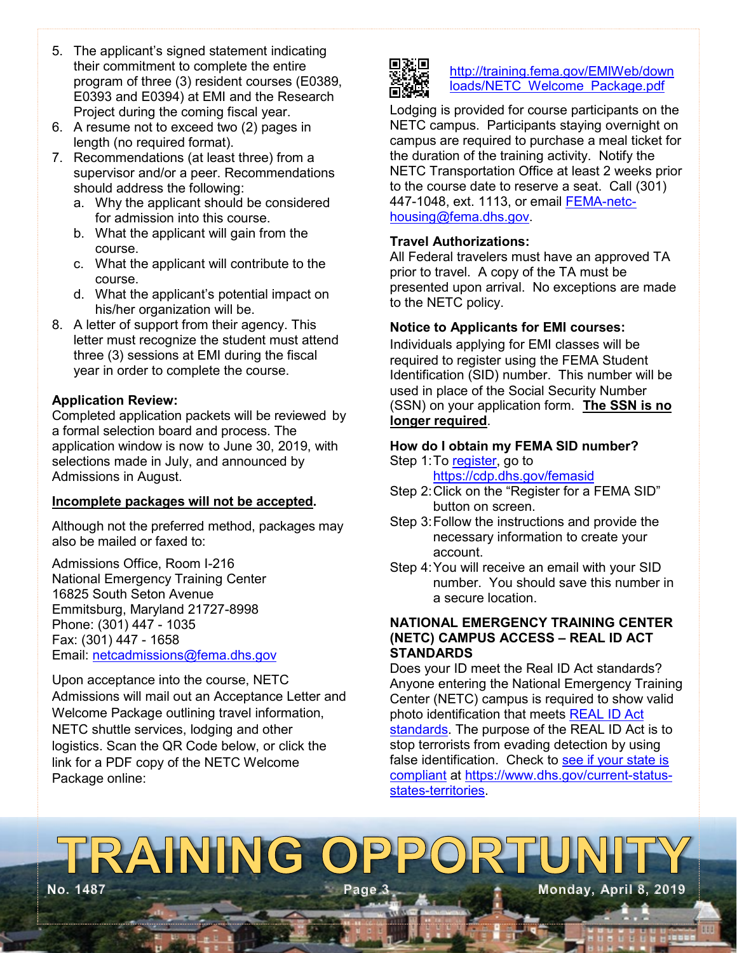- 5. The applicant's signed statement indicating their commitment to complete the entire program of three (3) resident courses (E0389, E0393 and E0394) at EMI and the Research Project during the coming fiscal year.
- 6. A resume not to exceed two (2) pages in length (no required format).
- 7. Recommendations (at least three) from a supervisor and/or a peer. Recommendations should address the following:
	- a. Why the applicant should be considered for admission into this course.
	- b. What the applicant will gain from the course.
	- c. What the applicant will contribute to the course.
	- d. What the applicant's potential impact on his/her organization will be.
- 8. A letter of support from their agency. This letter must recognize the student must attend three (3) sessions at EMI during the fiscal year in order to complete the course.

### **Application Review:**

Completed application packets will be reviewed by a formal selection board and process. The application window is now to June 30, 2019, with selections made in July, and announced by Admissions in August.

#### **Incomplete packages will not be accepted.**

Although not the preferred method, packages may also be mailed or faxed to:

Admissions Office, Room I-216 National Emergency Training Center 16825 South Seton Avenue Emmitsburg, Maryland 21727-8998 Phone: (301) 447 - 1035 Fax: (301) 447 - 1658 Email: [netcadmissions@fema.dhs.gov](mailto:netcadmissions@fema.dhs.gov)

Upon acceptance into the course, NETC Admissions will mail out an Acceptance Letter and Welcome Package outlining travel information, NETC shuttle services, lodging and other logistics. Scan the QR Code below, or click the link for a PDF copy of the NETC Welcome Package online:



#### [http://training.fema.gov/EMIWeb/down](http://training.fema.gov/EMIWeb/downloads/NETC_Welcome_Package.pdf) [loads/NETC Welcome Package.pdf](http://training.fema.gov/EMIWeb/downloads/NETC_Welcome_Package.pdf)

Lodging is provided for course participants on the NETC campus. Participants staying overnight on campus are required to purchase a meal ticket for the duration of the training activity. Notify the NETC Transportation Office at least 2 weeks prior to the course date to reserve a seat. Call (301) 447-1048, ext. 1113, or email [FEMA-netc](mailto:netc-housing@fema.dhs.gov)[housing@fema.dhs.gov.](mailto:netc-housing@fema.dhs.gov)

### **Travel Authorizations:**

All Federal travelers must have an approved TA prior to travel. A copy of the TA must be presented upon arrival. No exceptions are made to the NETC policy.

### **Notice to Applicants for EMI courses:**

Individuals applying for EMI classes will be required to register using the FEMA Student Identification (SID) number. This number will be used in place of the Social Security Number (SSN) on your application form. **The SSN is no longer required**.

# **How do I obtain my FEMA SID number?**

- Step 1: To [register,](https://cdp.dhs.gov/femasid) go to <https://cdp.dhs.gov/femasid>
- Step 2:Click on the "Register for a FEMA SID" button on screen.
- Step 3:Follow the instructions and provide the necessary information to create your account.
- Step 4:You will receive an email with your SID number. You should save this number in a secure location.

#### **NATIONAL EMERGENCY TRAINING CENTER (NETC) CAMPUS ACCESS – REAL ID ACT STANDARDS**

Does your ID meet the Real ID Act standards? Anyone entering the National Emergency Training Center (NETC) campus is required to show valid photo identification that meets [REAL ID Act](https://www.dhs.gov/real-id-public-faqs)  [standards.](https://www.dhs.gov/real-id-public-faqs) The purpose of the REAL ID Act is to stop terrorists from evading detection by using false identification. Check to see if your state is [compliant](https://www.dhs.gov/current-status-states-territories.) at [https://www.dhs.gov/current-status](https://www.dhs.gov/current-status-states-territories)[states-territories.](https://www.dhs.gov/current-status-states-territories)

# TRAINING OPPOR **No. 1487 Page 3 Monday, April 8, 2019**